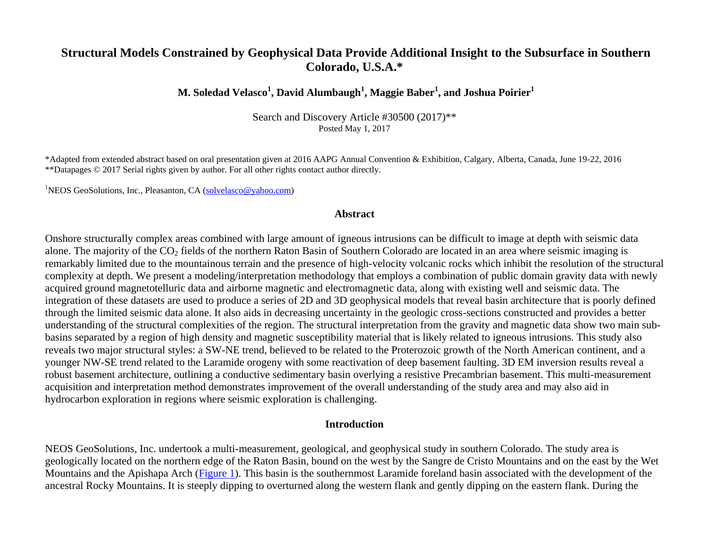# **Structural Models Constrained by Geophysical Data Provide Additional Insight to the Subsurface in Southern Colorado, U.S.A.\***

## **M. Soledad Velasco<sup>1</sup> , David Alumbaugh<sup>1</sup> , Maggie Baber<sup>1</sup> , and Joshua Poirier<sup>1</sup>**

Search and Discovery Article #30500 (2017)\*\* Posted May 1, 2017

\*Adapted from extended abstract based on oral presentation given at 2016 AAPG Annual Convention & Exhibition, Calgary, Alberta, Canada, June 19-22, 2016 \*\*Datapages © 2017 Serial rights given by author. For all other rights contact author directly.

<sup>1</sup>NEOS GeoSolutions, Inc., Pleasanton, CA [\(solvelasco@yahoo.com\)](mailto:solvelasco@yahoo.com)

#### **Abstract**

Onshore structurally complex areas combined with large amount of igneous intrusions can be difficult to image at depth with seismic data alone. The majority of the  $CO<sub>2</sub>$  fields of the northern Raton Basin of Southern Colorado are located in an area where seismic imaging is remarkably limited due to the mountainous terrain and the presence of high-velocity volcanic rocks which inhibit the resolution of the structural complexity at depth. We present a modeling/interpretation methodology that employs a combination of public domain gravity data with newly acquired ground magnetotelluric data and airborne magnetic and electromagnetic data, along with existing well and seismic data. The integration of these datasets are used to produce a series of 2D and 3D geophysical models that reveal basin architecture that is poorly defined through the limited seismic data alone. It also aids in decreasing uncertainty in the geologic cross-sections constructed and provides a better understanding of the structural complexities of the region. The structural interpretation from the gravity and magnetic data show two main subbasins separated by a region of high density and magnetic susceptibility material that is likely related to igneous intrusions. This study also reveals two major structural styles: a SW-NE trend, believed to be related to the Proterozoic growth of the North American continent, and a younger NW-SE trend related to the Laramide orogeny with some reactivation of deep basement faulting. 3D EM inversion results reveal a robust basement architecture, outlining a conductive sedimentary basin overlying a resistive Precambrian basement. This multi-measurement acquisition and interpretation method demonstrates improvement of the overall understanding of the study area and may also aid in hydrocarbon exploration in regions where seismic exploration is challenging.

#### **Introduction**

NEOS GeoSolutions, Inc. undertook a multi-measurement, geological, and geophysical study in southern Colorado. The study area is geologically located on the northern edge of the Raton Basin, bound on the west by the Sangre de Cristo Mountains and on the east by the Wet Mountains and the Apishapa Arch [\(Figure 1\)](#page-7-0). This basin is the southernmost Laramide foreland basin associated with the development of the ancestral Rocky Mountains. It is steeply dipping to overturned along the western flank and gently dipping on the eastern flank. During the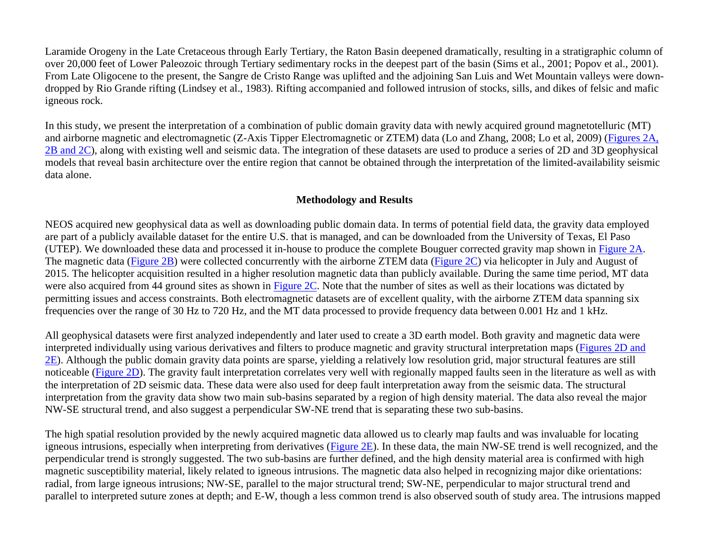Laramide Orogeny in the Late Cretaceous through Early Tertiary, the Raton Basin deepened dramatically, resulting in a stratigraphic column of over 20,000 feet of Lower Paleozoic through Tertiary sedimentary rocks in the deepest part of the basin (Sims et al., 2001; Popov et al., 2001). From Late Oligocene to the present, the Sangre de Cristo Range was uplifted and the adjoining San Luis and Wet Mountain valleys were downdropped by Rio Grande rifting (Lindsey et al., 1983). Rifting accompanied and followed intrusion of stocks, sills, and dikes of felsic and mafic igneous rock.

In this study, we present the interpretation of a combination of public domain gravity data with newly acquired ground magnetotelluric (MT) and airborne magnetic and electromagnetic (Z-Axis Tipper Electromagnetic or ZTEM) data (Lo and Zhang, 2008; Lo et al, 2009) [\(Figures](#page-8-0) 2A, [2B and 2C\)](#page-8-0), along with existing well and seismic data. The integration of these datasets are used to produce a series of 2D and 3D geophysical models that reveal basin architecture over the entire region that cannot be obtained through the interpretation of the limited-availability seismic data alone.

### **Methodology and Results**

NEOS acquired new geophysical data as well as downloading public domain data. In terms of potential field data, the gravity data employed are part of a publicly available dataset for the entire U.S. that is managed, and can be downloaded from the University of Texas, El Paso (UTEP). We downloaded these data and processed it in-house to produce the complete Bouguer corrected gravity map shown in [Figure 2A.](#page-8-0) The magnetic data [\(Figure 2B\)](#page-8-0) were collected concurrently with the airborne ZTEM data [\(Figure 2C\)](#page-8-0) via helicopter in July and August of 2015. The helicopter acquisition resulted in a higher resolution magnetic data than publicly available. During the same time period, MT data were also acquired from 44 ground sites as shown in [Figure](#page-8-0) 2C. Note that the number of sites as well as their locations was dictated by permitting issues and access constraints. Both electromagnetic datasets are of excellent quality, with the airborne ZTEM data spanning six frequencies over the range of 30 Hz to 720 Hz, and the MT data processed to provide frequency data between 0.001 Hz and 1 kHz.

All geophysical datasets were first analyzed independently and later used to create a 3D earth model. Both gravity and magnetic data were interpreted individually using various derivatives and filters to produce magnetic and gravity structural interpretation maps [\(Figures 2D and](#page-8-0)   $2E$ ). Although the public domain gravity data points are sparse, yielding a relatively low resolution grid, major structural features are still noticeable [\(Figure 2D\)](#page-8-0). The gravity fault interpretation correlates very well with regionally mapped faults seen in the literature as well as with the interpretation of 2D seismic data. These data were also used for deep fault interpretation away from the seismic data. The structural interpretation from the gravity data show two main sub-basins separated by a region of high density material. The data also reveal the major NW-SE structural trend, and also suggest a perpendicular SW-NE trend that is separating these two sub-basins.

The high spatial resolution provided by the newly acquired magnetic data allowed us to clearly map faults and was invaluable for locating igneous intrusions, especially when interpreting from derivatives [\(Figure 2E\)](#page-8-0). In these data, the main NW-SE trend is well recognized, and the perpendicular trend is strongly suggested. The two sub-basins are further defined, and the high density material area is confirmed with high magnetic susceptibility material, likely related to igneous intrusions. The magnetic data also helped in recognizing major dike orientations: radial, from large igneous intrusions; NW-SE, parallel to the major structural trend; SW-NE, perpendicular to major structural trend and parallel to interpreted suture zones at depth; and E-W, though a less common trend is also observed south of study area. The intrusions mapped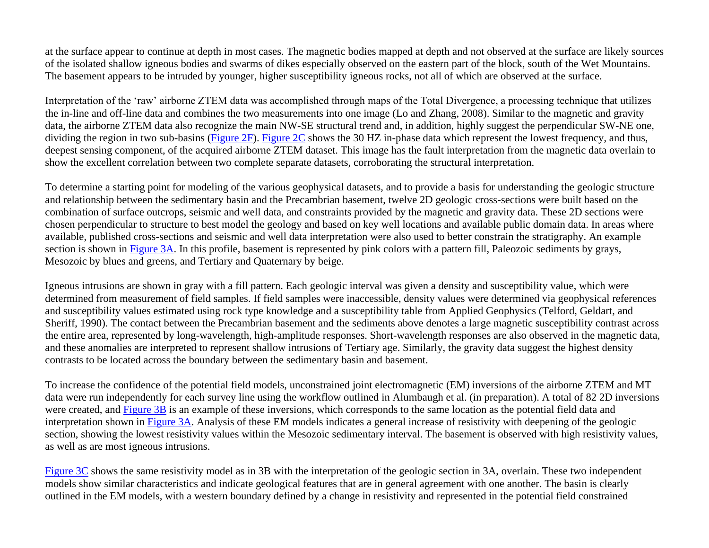at the surface appear to continue at depth in most cases. The magnetic bodies mapped at depth and not observed at the surface are likely sources of the isolated shallow igneous bodies and swarms of dikes especially observed on the eastern part of the block, south of the Wet Mountains. The basement appears to be intruded by younger, higher susceptibility igneous rocks, not all of which are observed at the surface.

Interpretation of the 'raw' airborne ZTEM data was accomplished through maps of the Total Divergence, a processing technique that utilizes the in-line and off-line data and combines the two measurements into one image (Lo and Zhang, 2008). Similar to the magnetic and gravity data, the airborne ZTEM data also recognize the main NW-SE structural trend and, in addition, highly suggest the perpendicular SW-NE one, dividing the region in two sub-basins [\(Figure 2F\)](#page-8-0). [Figure 2C](#page-8-0) shows the 30 HZ in-phase data which represent the lowest frequency, and thus, deepest sensing component, of the acquired airborne ZTEM dataset. This image has the fault interpretation from the magnetic data overlain to show the excellent correlation between two complete separate datasets, corroborating the structural interpretation.

To determine a starting point for modeling of the various geophysical datasets, and to provide a basis for understanding the geologic structure and relationship between the sedimentary basin and the Precambrian basement, twelve 2D geologic cross-sections were built based on the combination of surface outcrops, seismic and well data, and constraints provided by the magnetic and gravity data. These 2D sections were chosen perpendicular to structure to best model the geology and based on key well locations and available public domain data. In areas where available, published cross-sections and seismic and well data interpretation were also used to better constrain the stratigraphy. An example section is shown in [Figure 3A.](#page-9-0) In this profile, basement is represented by pink colors with a pattern fill, Paleozoic sediments by grays, Mesozoic by blues and greens, and Tertiary and Quaternary by beige.

Igneous intrusions are shown in gray with a fill pattern. Each geologic interval was given a density and susceptibility value, which were determined from measurement of field samples. If field samples were inaccessible, density values were determined via geophysical references and susceptibility values estimated using rock type knowledge and a susceptibility table from Applied Geophysics (Telford, Geldart, and Sheriff, 1990). The contact between the Precambrian basement and the sediments above denotes a large magnetic susceptibility contrast across the entire area, represented by long-wavelength, high-amplitude responses. Short-wavelength responses are also observed in the magnetic data, and these anomalies are interpreted to represent shallow intrusions of Tertiary age. Similarly, the gravity data suggest the highest density contrasts to be located across the boundary between the sedimentary basin and basement.

To increase the confidence of the potential field models, unconstrained joint electromagnetic (EM) inversions of the airborne ZTEM and MT data were run independently for each survey line using the workflow outlined in Alumbaugh et al. (in preparation). A total of 82 2D inversions were created, and [Figure 3B](#page-9-0) is an example of these inversions, which corresponds to the same location as the potential field data and interpretation shown in [Figure 3A.](#page-9-0) Analysis of these EM models indicates a general increase of resistivity with deepening of the geologic section, showing the lowest resistivity values within the Mesozoic sedimentary interval. The basement is observed with high resistivity values, as well as are most igneous intrusions.

[Figure 3C](#page-9-0) shows the same resistivity model as in 3B with the interpretation of the geologic section in 3A, overlain. These two independent models show similar characteristics and indicate geological features that are in general agreement with one another. The basin is clearly outlined in the EM models, with a western boundary defined by a change in resistivity and represented in the potential field constrained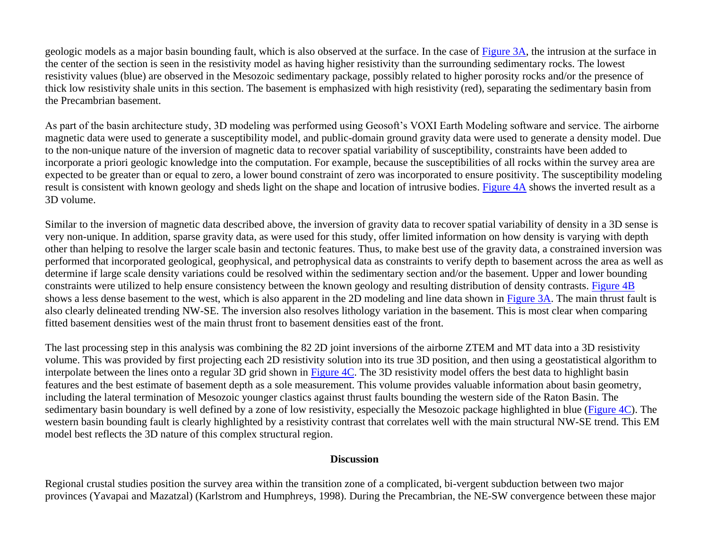geologic models as a major basin bounding fault, which is also observed at the surface. In the case of [Figure 3A,](#page-9-0) the intrusion at the surface in the center of the section is seen in the resistivity model as having higher resistivity than the surrounding sedimentary rocks. The lowest resistivity values (blue) are observed in the Mesozoic sedimentary package, possibly related to higher porosity rocks and/or the presence of thick low resistivity shale units in this section. The basement is emphasized with high resistivity (red), separating the sedimentary basin from the Precambrian basement.

As part of the basin architecture study, 3D modeling was performed using Geosoft's VOXI Earth Modeling software and service. The airborne magnetic data were used to generate a susceptibility model, and public-domain ground gravity data were used to generate a density model. Due to the non-unique nature of the inversion of magnetic data to recover spatial variability of susceptibility, constraints have been added to incorporate a priori geologic knowledge into the computation. For example, because the susceptibilities of all rocks within the survey area are expected to be greater than or equal to zero, a lower bound constraint of zero was incorporated to ensure positivity. The susceptibility modeling result is consistent with known geology and sheds light on the shape and location of intrusive bodies. [Figure 4A](#page-10-0) shows the inverted result as a 3D volume.

Similar to the inversion of magnetic data described above, the inversion of gravity data to recover spatial variability of density in a 3D sense is very non-unique. In addition, sparse gravity data, as were used for this study, offer limited information on how density is varying with depth other than helping to resolve the larger scale basin and tectonic features. Thus, to make best use of the gravity data, a constrained inversion was performed that incorporated geological, geophysical, and petrophysical data as constraints to verify depth to basement across the area as well as determine if large scale density variations could be resolved within the sedimentary section and/or the basement. Upper and lower bounding constraints were utilized to help ensure consistency between the known geology and resulting distribution of density contrasts. [Figure 4B](#page-10-0) shows a less dense basement to the west, which is also apparent in the 2D modeling and line data shown in [Figure 3A.](#page-9-0) The main thrust fault is also clearly delineated trending NW-SE. The inversion also resolves lithology variation in the basement. This is most clear when comparing fitted basement densities west of the main thrust front to basement densities east of the front.

The last processing step in this analysis was combining the 82 2D joint inversions of the airborne ZTEM and MT data into a 3D resistivity volume. This was provided by first projecting each 2D resistivity solution into its true 3D position, and then using a geostatistical algorithm to interpolate between the lines onto a regular 3D grid shown in [Figure 4C.](#page-10-0) The 3D resistivity model offers the best data to highlight basin features and the best estimate of basement depth as a sole measurement. This volume provides valuable information about basin geometry, including the lateral termination of Mesozoic younger clastics against thrust faults bounding the western side of the Raton Basin. The sedimentary basin boundary is well defined by a zone of low resistivity, especially the Mesozoic package highlighted in blue [\(Figure 4C\)](#page-10-0). The western basin bounding fault is clearly highlighted by a resistivity contrast that correlates well with the main structural NW-SE trend. This EM model best reflects the 3D nature of this complex structural region.

#### **Discussion**

Regional crustal studies position the survey area within the transition zone of a complicated, bi-vergent subduction between two major provinces (Yavapai and Mazatzal) (Karlstrom and Humphreys, 1998). During the Precambrian, the NE-SW convergence between these major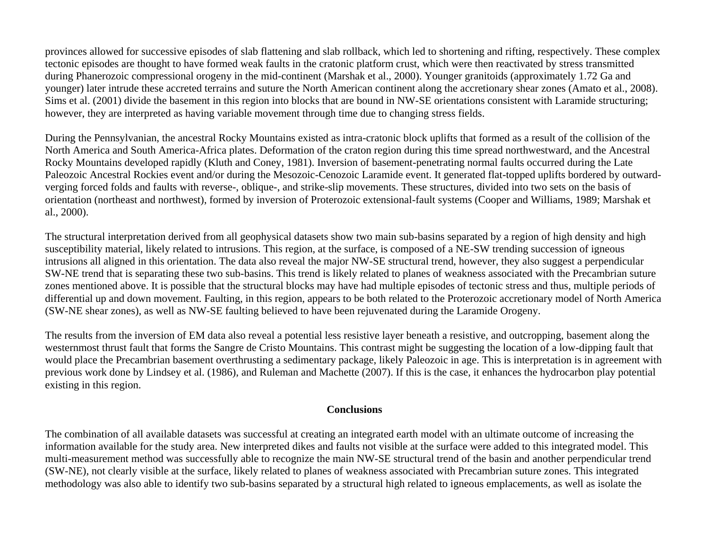provinces allowed for successive episodes of slab flattening and slab rollback, which led to shortening and rifting, respectively. These complex tectonic episodes are thought to have formed weak faults in the cratonic platform crust, which were then reactivated by stress transmitted during Phanerozoic compressional orogeny in the mid-continent (Marshak et al., 2000). Younger granitoids (approximately 1.72 Ga and younger) later intrude these accreted terrains and suture the North American continent along the accretionary shear zones (Amato et al., 2008). Sims et al. (2001) divide the basement in this region into blocks that are bound in NW-SE orientations consistent with Laramide structuring; however, they are interpreted as having variable movement through time due to changing stress fields.

During the Pennsylvanian, the ancestral Rocky Mountains existed as intra-cratonic block uplifts that formed as a result of the collision of the North America and South America-Africa plates. Deformation of the craton region during this time spread northwestward, and the Ancestral Rocky Mountains developed rapidly (Kluth and Coney, 1981). Inversion of basement-penetrating normal faults occurred during the Late Paleozoic Ancestral Rockies event and/or during the Mesozoic-Cenozoic Laramide event. It generated flat-topped uplifts bordered by outwardverging forced folds and faults with reverse-, oblique-, and strike-slip movements. These structures, divided into two sets on the basis of orientation (northeast and northwest), formed by inversion of Proterozoic extensional-fault systems (Cooper and Williams, 1989; Marshak et al., 2000).

The structural interpretation derived from all geophysical datasets show two main sub-basins separated by a region of high density and high susceptibility material, likely related to intrusions. This region, at the surface, is composed of a NE-SW trending succession of igneous intrusions all aligned in this orientation. The data also reveal the major NW-SE structural trend, however, they also suggest a perpendicular SW-NE trend that is separating these two sub-basins. This trend is likely related to planes of weakness associated with the Precambrian suture zones mentioned above. It is possible that the structural blocks may have had multiple episodes of tectonic stress and thus, multiple periods of differential up and down movement. Faulting, in this region, appears to be both related to the Proterozoic accretionary model of North America (SW-NE shear zones), as well as NW-SE faulting believed to have been rejuvenated during the Laramide Orogeny.

The results from the inversion of EM data also reveal a potential less resistive layer beneath a resistive, and outcropping, basement along the westernmost thrust fault that forms the Sangre de Cristo Mountains. This contrast might be suggesting the location of a low-dipping fault that would place the Precambrian basement overthrusting a sedimentary package, likely Paleozoic in age. This is interpretation is in agreement with previous work done by Lindsey et al. (1986), and Ruleman and Machette (2007). If this is the case, it enhances the hydrocarbon play potential existing in this region.

#### **Conclusions**

The combination of all available datasets was successful at creating an integrated earth model with an ultimate outcome of increasing the information available for the study area. New interpreted dikes and faults not visible at the surface were added to this integrated model. This multi-measurement method was successfully able to recognize the main NW-SE structural trend of the basin and another perpendicular trend (SW-NE), not clearly visible at the surface, likely related to planes of weakness associated with Precambrian suture zones. This integrated methodology was also able to identify two sub-basins separated by a structural high related to igneous emplacements, as well as isolate the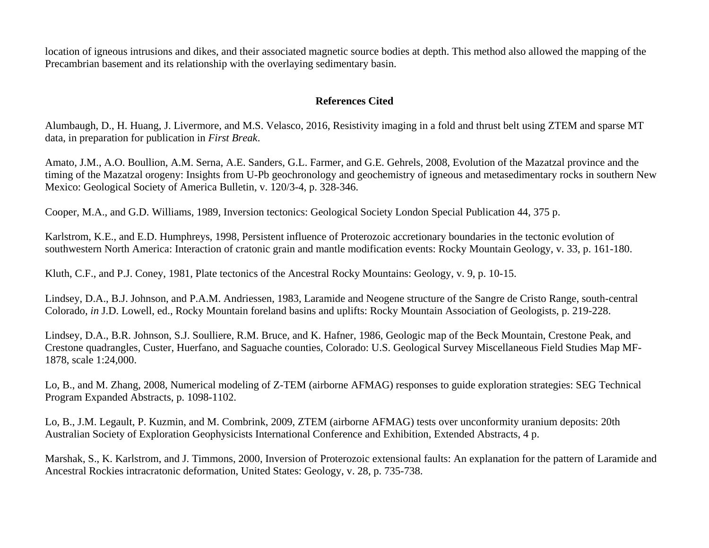location of igneous intrusions and dikes, and their associated magnetic source bodies at depth. This method also allowed the mapping of the Precambrian basement and its relationship with the overlaying sedimentary basin.

## **References Cited**

Alumbaugh, D., H. Huang, J. Livermore, and M.S. Velasco, 2016, Resistivity imaging in a fold and thrust belt using ZTEM and sparse MT data, in preparation for publication in *First Break*.

Amato, J.M., A.O. Boullion, A.M. Serna, A.E. Sanders, G.L. Farmer, and G.E. Gehrels, 2008, Evolution of the Mazatzal province and the timing of the Mazatzal orogeny: Insights from U-Pb geochronology and geochemistry of igneous and metasedimentary rocks in southern New Mexico: Geological Society of America Bulletin, v. 120/3-4, p. 328-346.

Cooper, M.A., and G.D. Williams, 1989, Inversion tectonics: Geological Society London Special Publication 44, 375 p.

Karlstrom, K.E., and E.D. Humphreys, 1998, Persistent influence of Proterozoic accretionary boundaries in the tectonic evolution of southwestern North America: Interaction of cratonic grain and mantle modification events: Rocky Mountain Geology, v. 33, p. 161-180.

Kluth, C.F., and P.J. Coney, 1981, Plate tectonics of the Ancestral Rocky Mountains: Geology, v. 9, p. 10-15.

Lindsey, D.A., B.J. Johnson, and P.A.M. Andriessen, 1983, Laramide and Neogene structure of the Sangre de Cristo Range, south-central Colorado, *in* J.D. Lowell, ed., Rocky Mountain foreland basins and uplifts: Rocky Mountain Association of Geologists, p. 219-228.

Lindsey, D.A., B.R. Johnson, S.J. Soulliere, R.M. Bruce, and K. Hafner, 1986, Geologic map of the Beck Mountain, Crestone Peak, and Crestone quadrangles, Custer, Huerfano, and Saguache counties, Colorado: U.S. Geological Survey Miscellaneous Field Studies Map MF-1878, scale 1:24,000.

Lo, B., and M. Zhang, 2008, Numerical modeling of Z-TEM (airborne AFMAG) responses to guide exploration strategies: SEG Technical Program Expanded Abstracts, p. 1098-1102.

Lo, B., J.M. Legault, P. Kuzmin, and M. Combrink, 2009, ZTEM (airborne AFMAG) tests over unconformity uranium deposits: 20th Australian Society of Exploration Geophysicists International Conference and Exhibition, Extended Abstracts, 4 p.

Marshak, S., K. Karlstrom, and J. Timmons, 2000, Inversion of Proterozoic extensional faults: An explanation for the pattern of Laramide and Ancestral Rockies intracratonic deformation, United States: Geology, v. 28, p. 735-738.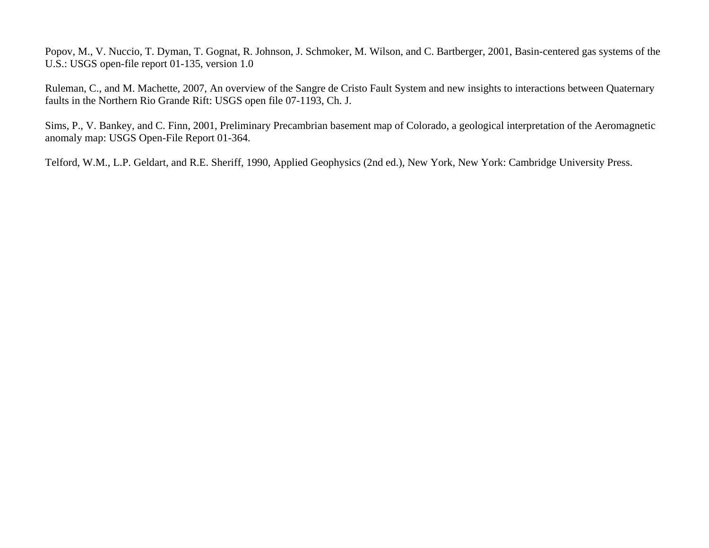Popov, M., V. Nuccio, T. Dyman, T. Gognat, R. Johnson, J. Schmoker, M. Wilson, and C. Bartberger, 2001, Basin-centered gas systems of the U.S.: USGS open-file report 01-135, version 1.0

Ruleman, C., and M. Machette, 2007, An overview of the Sangre de Cristo Fault System and new insights to interactions between Quaternary faults in the Northern Rio Grande Rift: USGS open file 07-1193, Ch. J.

Sims, P., V. Bankey, and C. Finn, 2001, Preliminary Precambrian basement map of Colorado, a geological interpretation of the Aeromagnetic anomaly map: USGS Open-File Report 01-364.

Telford, W.M., L.P. Geldart, and R.E. Sheriff, 1990, Applied Geophysics (2nd ed.), New York, New York: Cambridge University Press.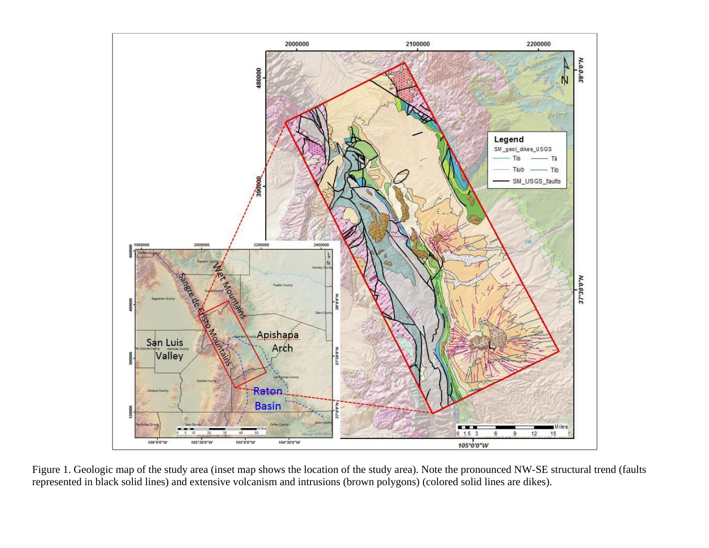<span id="page-7-0"></span>

Figure 1. Geologic map of the study area (inset map shows the location of the study area). Note the pronounced NW-SE structural trend (faults represented in black solid lines) and extensive volcanism and intrusions (brown polygons) (colored solid lines are dikes).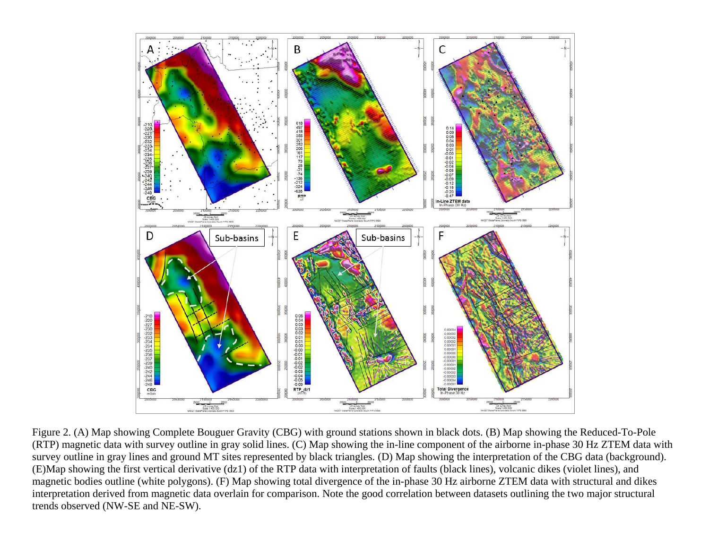<span id="page-8-0"></span>

Figure 2. (A) Map showing Complete Bouguer Gravity (CBG) with ground stations shown in black dots. (B) Map showing the Reduced-To-Pole (RTP) magnetic data with survey outline in gray solid lines. (C) Map showing the in-line component of the airborne in-phase 30 Hz ZTEM data with survey outline in gray lines and ground MT sites represented by black triangles. (D) Map showing the interpretation of the CBG data (background). (E)Map showing the first vertical derivative (dz1) of the RTP data with interpretation of faults (black lines), volcanic dikes (violet lines), and magnetic bodies outline (white polygons). (F) Map showing total divergence of the in-phase 30 Hz airborne ZTEM data with structural and dikes interpretation derived from magnetic data overlain for comparison. Note the good correlation between datasets outlining the two major structural trends observed (NW-SE and NE-SW).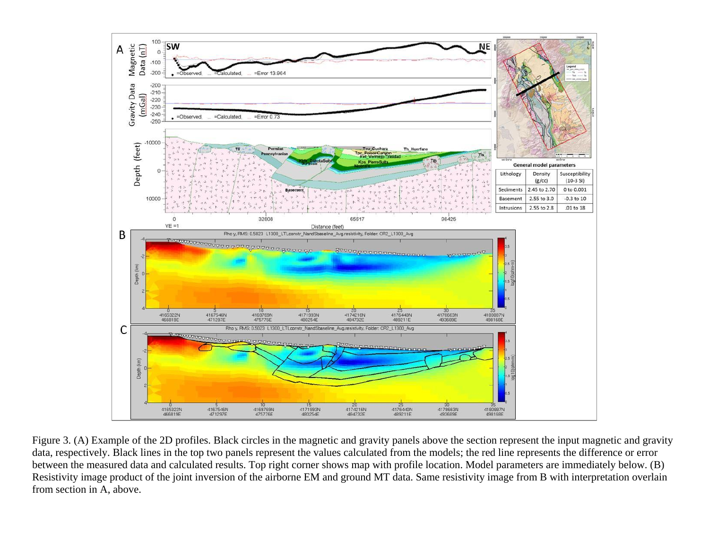<span id="page-9-0"></span>

Figure 3. (A) Example of the 2D profiles. Black circles in the magnetic and gravity panels above the section represent the input magnetic and gravity data, respectively. Black lines in the top two panels represent the values calculated from the models; the red line represents the difference or error between the measured data and calculated results. Top right corner shows map with profile location. Model parameters are immediately below. (B) Resistivity image product of the joint inversion of the airborne EM and ground MT data. Same resistivity image from B with interpretation overlain from section in A, above.